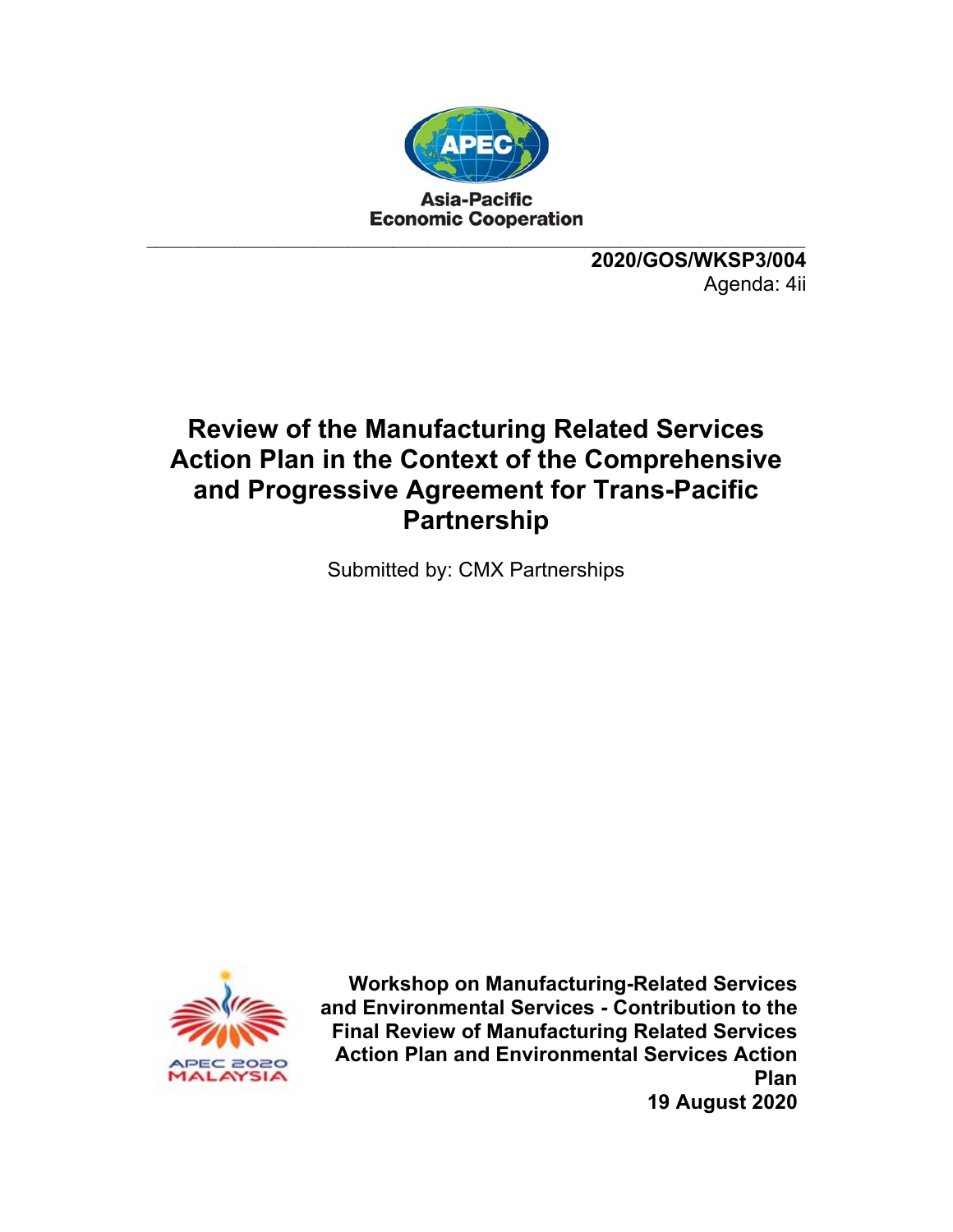

**2020/GOS/WKSP3/004**  Agenda: 4ii

#### **Review of the Manufacturing Related Services Action Plan in the Context of the Comprehensive and Progressive Agreement for Trans-Pacific Partnership**

Submitted by: CMX Partnerships



**Workshop on Manufacturing-Related Services and Environmental Services - Contribution to the Final Review of Manufacturing Related Services Action Plan and Environmental Services Action Plan 19 August 2020**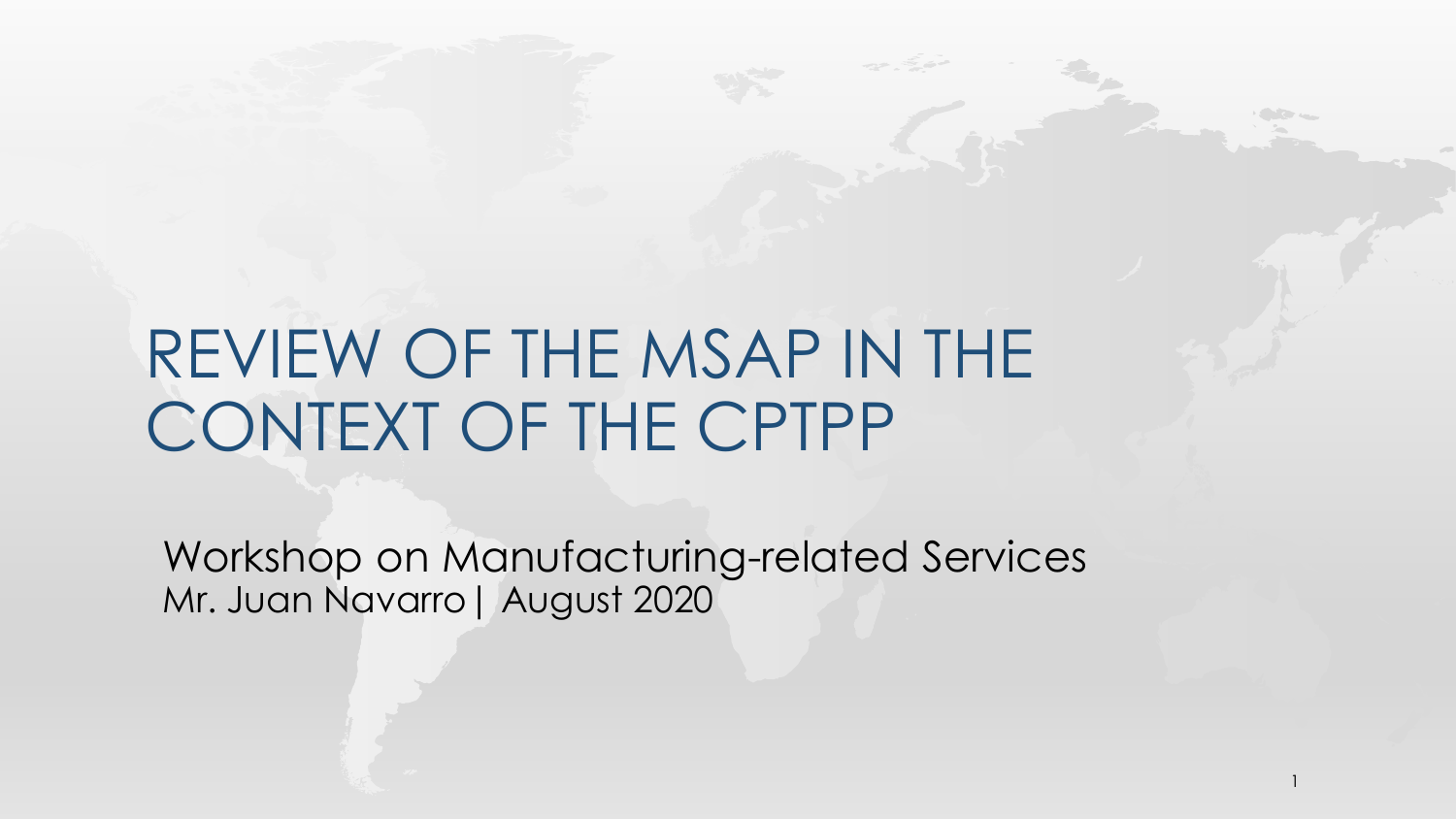# REVIEW OF THE MSAP IN THE CONTEXT OF THE CPTPP

Workshop on Manufacturing-related Services Mr. Juan Navarro| August 2020

1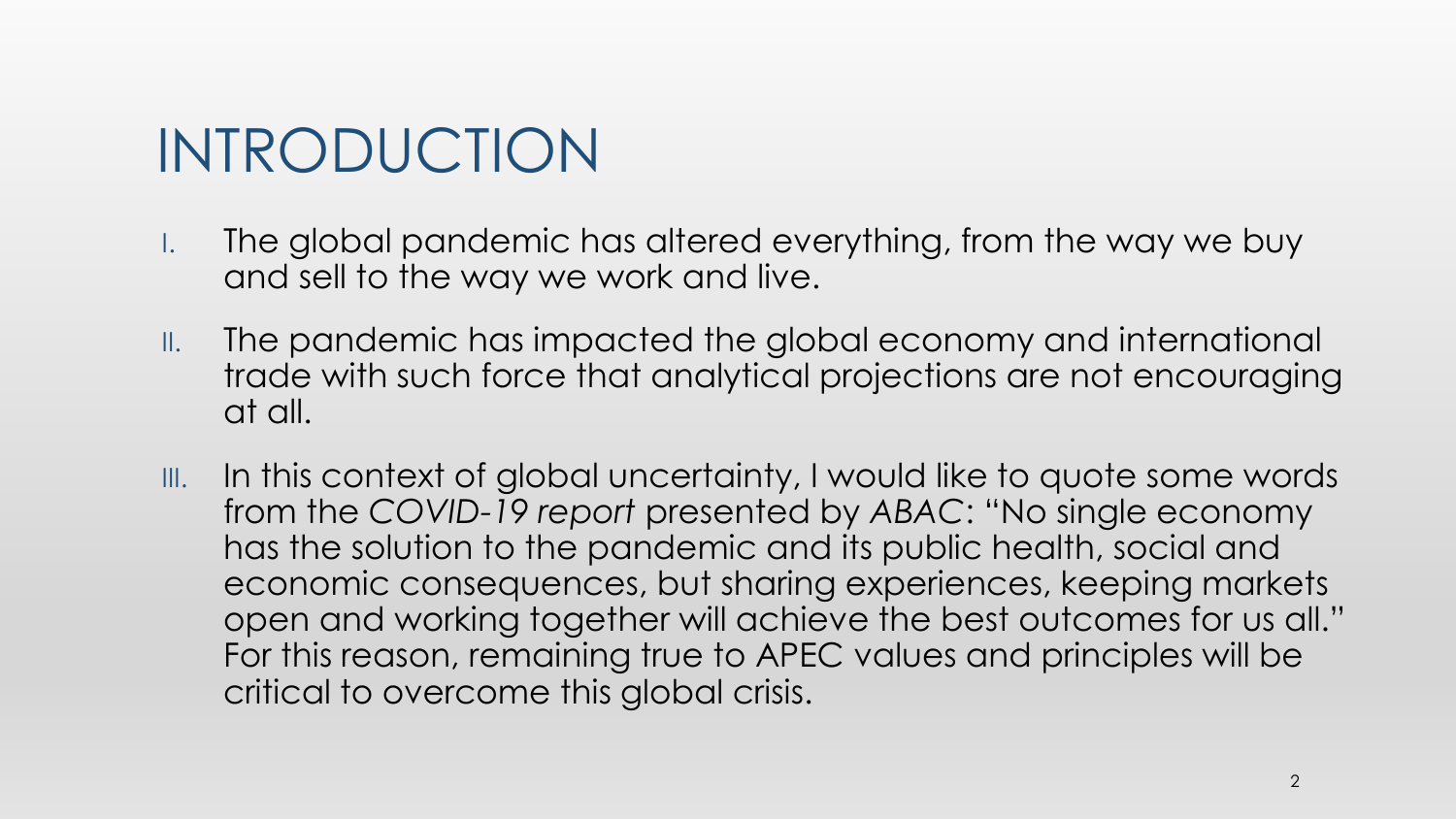# INTRODUCTION

- I. The global pandemic has altered everything, from the way we buy and sell to the way we work and live.
- II. The pandemic has impacted the global economy and international trade with such force that analytical projections are not encouraging at all.
- III. In this context of global uncertainty, I would like to quote some words from the *COVID-19 report* presented by *ABAC*: "No single economy has the solution to the pandemic and its public health, social and economic consequences, but sharing experiences, keeping markets open and working together will achieve the best outcomes for us all." For this reason, remaining true to APEC values and principles will be critical to overcome this global crisis.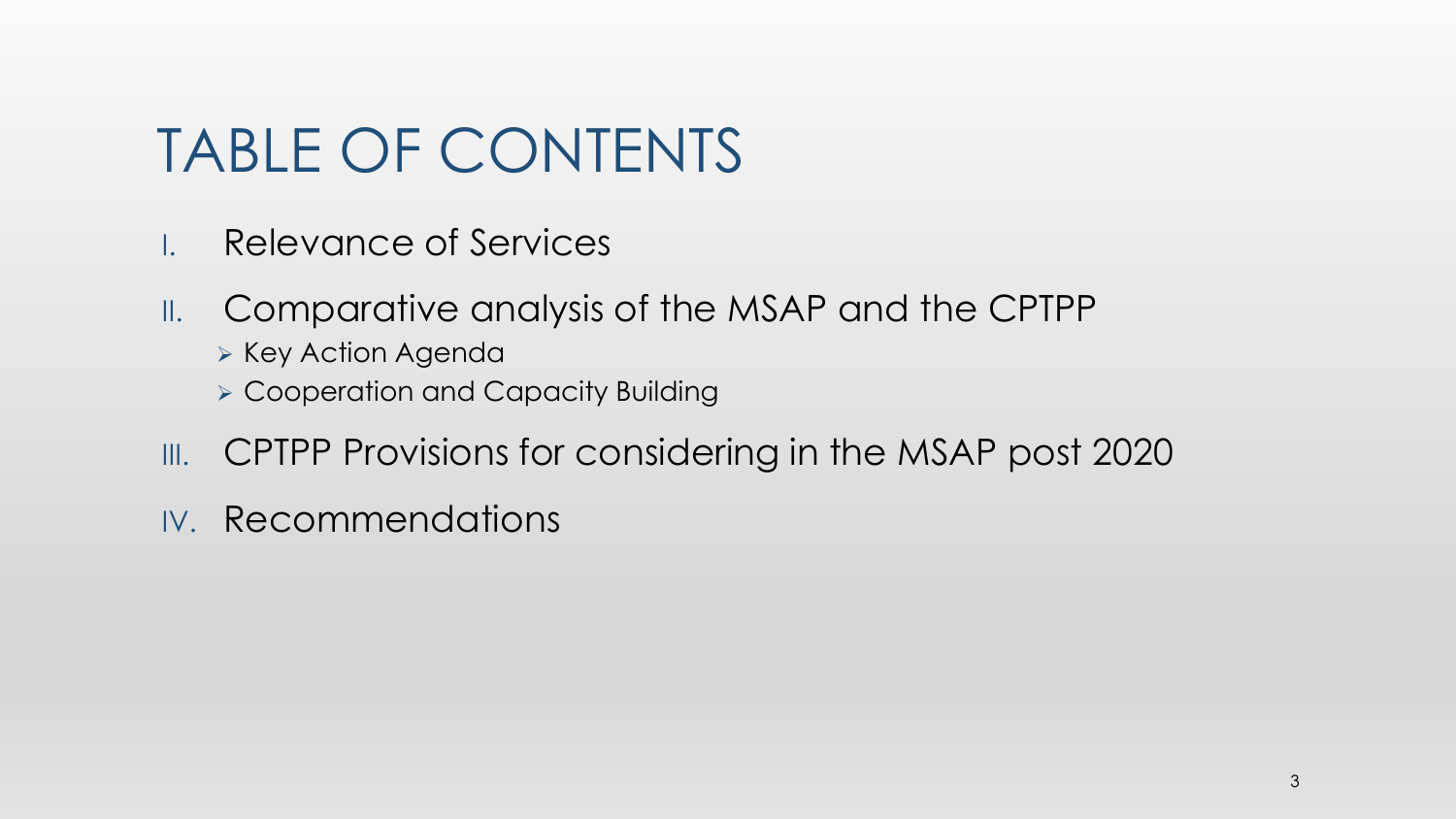# TABLE OF CONTENTS

- I. Relevance of Services
- II. Comparative analysis of the MSAP and the CPTPP
	- ➢ Key Action Agenda
	- ➢ Cooperation and Capacity Building
- III. CPTPP Provisions for considering in the MSAP post 2020
- IV. Recommendations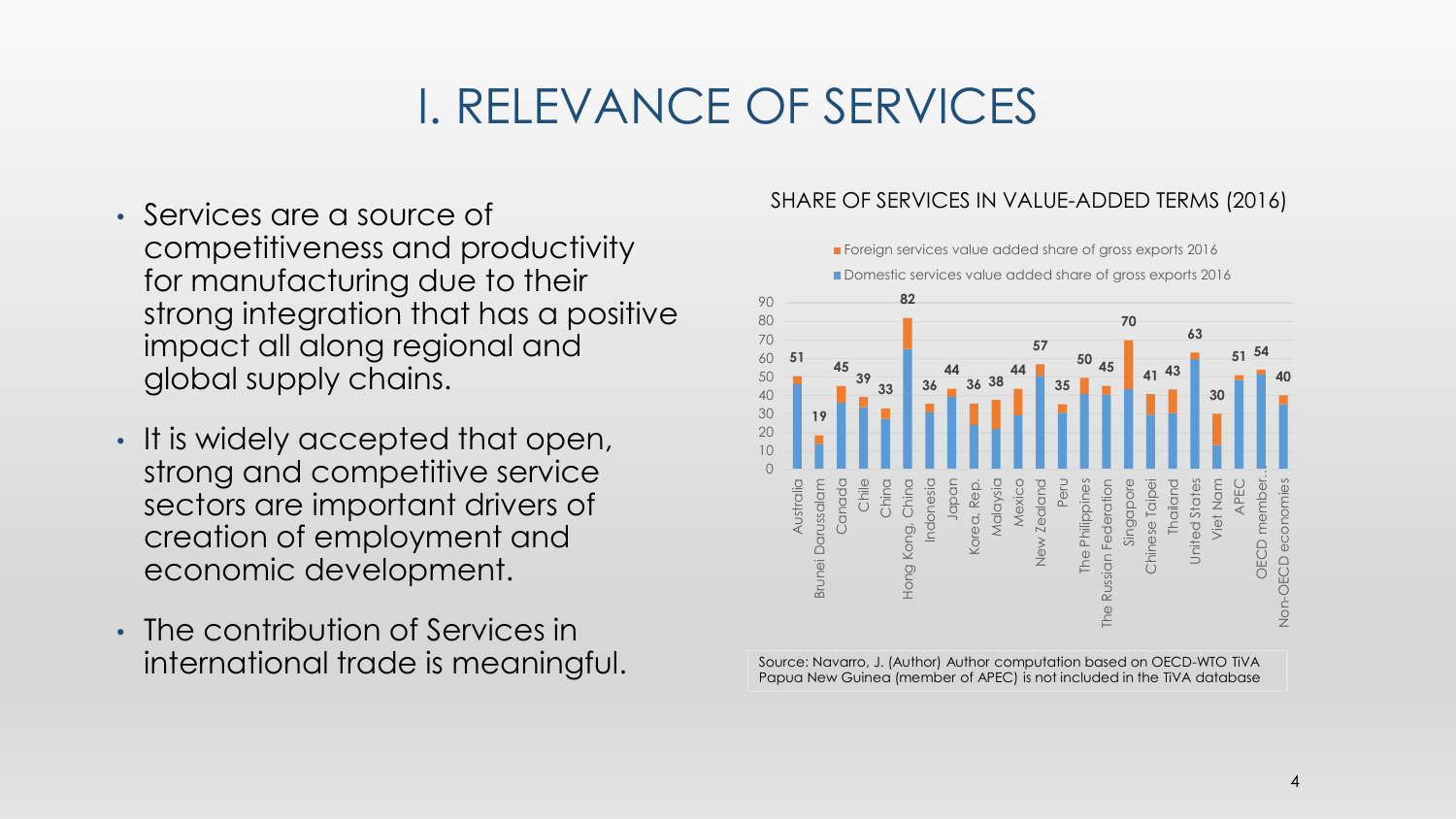## I. RELEVANCE OF SERVICES

- Services are a source of competitiveness and productivity for manufacturing due to their strong integration that has a positive impact all along regional and global supply chains.
- It is widely accepted that open, strong and competitive service sectors are important drivers of creation of employment and economic development.
- The contribution of Services in international trade is meaningful.

#### SHARE OF SERVICES IN VALUE-ADDED TERMS (2016)

**Foreign services value added share of gross exports 2016** 



Papua New Guinea (member of APEC) is not included in the TiVA database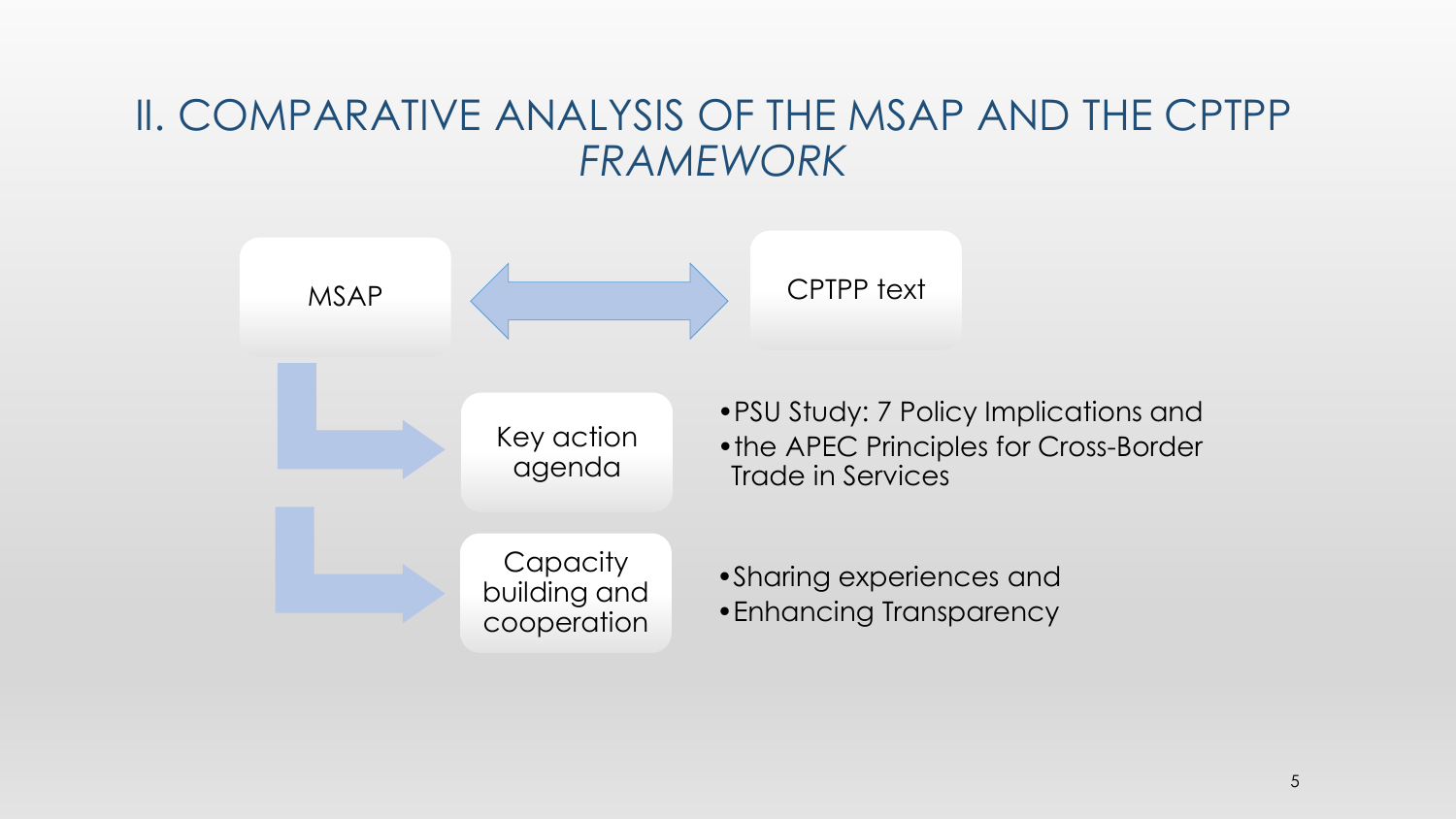### II. COMPARATIVE ANALYSIS OF THE MSAP AND THE CPTPP *FRAMEWORK*

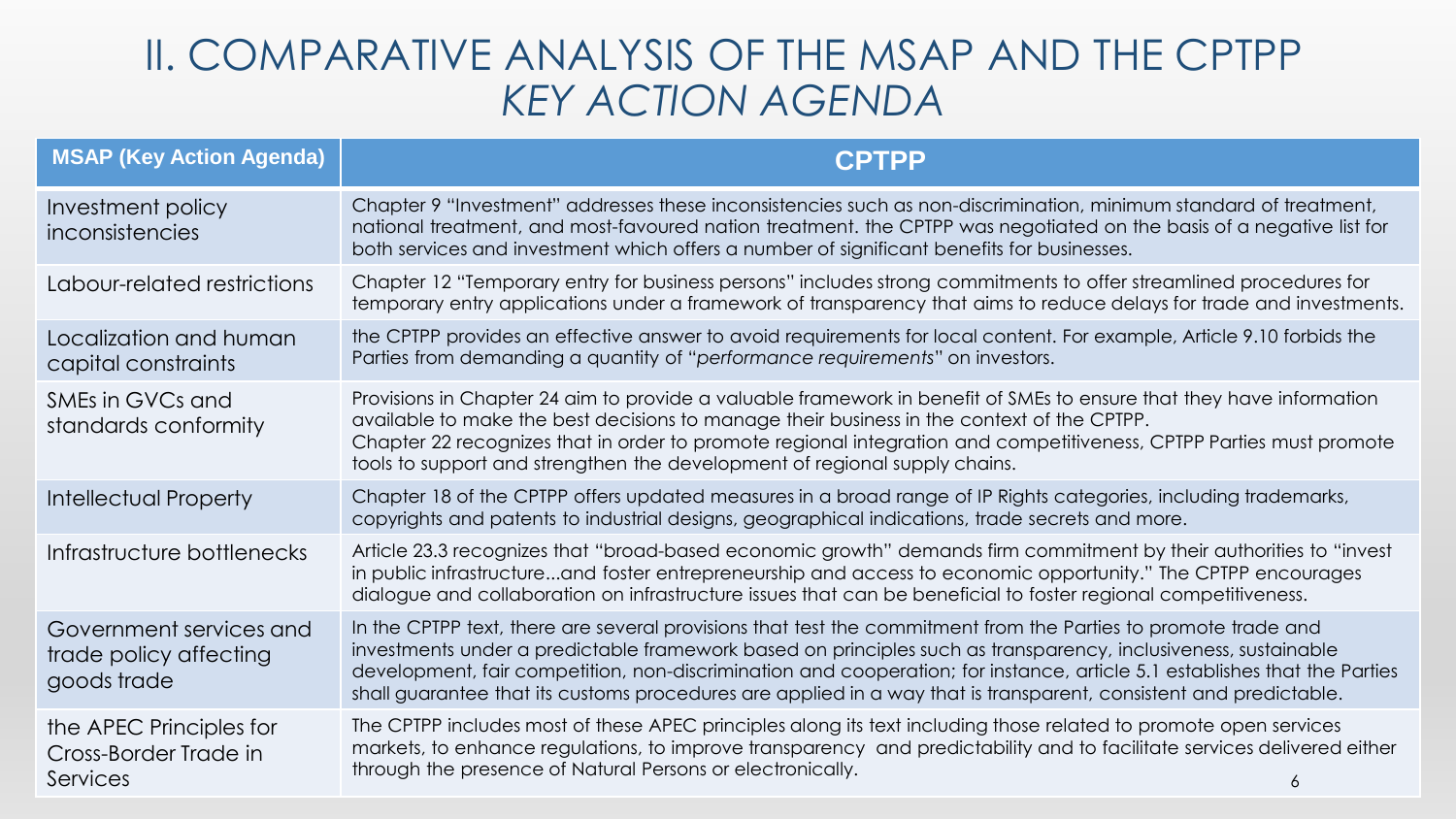## II. COMPARATIVE ANALYSIS OF THE MSAP AND THE CPTPP *KEY ACTION AGENDA*

| <b>MSAP (Key Action Agenda)</b>                                  | <b>CPTPP</b>                                                                                                                                                                                                                                                                                                                                                                                                                                                                       |
|------------------------------------------------------------------|------------------------------------------------------------------------------------------------------------------------------------------------------------------------------------------------------------------------------------------------------------------------------------------------------------------------------------------------------------------------------------------------------------------------------------------------------------------------------------|
| Investment policy<br>inconsistencies                             | Chapter 9 "Investment" addresses these inconsistencies such as non-discrimination, minimum standard of treatment,<br>national treatment, and most-favoured nation treatment. the CPTPP was negotiated on the basis of a negative list for<br>both services and investment which offers a number of significant benefits for businesses.                                                                                                                                            |
| Labour-related restrictions                                      | Chapter 12 "Temporary entry for business persons" includes strong commitments to offer streamlined procedures for<br>temporary entry applications under a framework of transparency that aims to reduce delays for trade and investments.                                                                                                                                                                                                                                          |
| Localization and human<br>capital constraints                    | the CPTPP provides an effective answer to avoid requirements for local content. For example, Article 9.10 forbids the<br>Parties from demanding a quantity of "performance requirements" on investors.                                                                                                                                                                                                                                                                             |
| SMEs in GVCs and<br>standards conformity                         | Provisions in Chapter 24 aim to provide a valuable framework in benefit of SMEs to ensure that they have information<br>available to make the best decisions to manage their business in the context of the CPTPP.<br>Chapter 22 recognizes that in order to promote regional integration and competitiveness, CPTPP Parties must promote<br>tools to support and strengthen the development of regional supply chains.                                                            |
| <b>Intellectual Property</b>                                     | Chapter 18 of the CPTPP offers updated measures in a broad range of IP Rights categories, including trademarks,<br>copyrights and patents to industrial designs, geographical indications, trade secrets and more.                                                                                                                                                                                                                                                                 |
| Infrastructure bottlenecks                                       | Article 23.3 recognizes that "broad-based economic growth" demands firm commitment by their authorities to "invest<br>in public infrastructureand foster entrepreneurship and access to economic opportunity." The CPTPP encourages<br>dialogue and collaboration on infrastructure issues that can be beneficial to foster regional competitiveness.                                                                                                                              |
| Government services and<br>trade policy affecting<br>goods trade | In the CPTPP text, there are several provisions that test the commitment from the Parties to promote trade and<br>investments under a predictable framework based on principles such as transparency, inclusiveness, sustainable<br>development, fair competition, non-discrimination and cooperation; for instance, article 5.1 establishes that the Parties<br>shall guarantee that its customs procedures are applied in a way that is transparent, consistent and predictable. |
| the APEC Principles for<br>Cross-Border Trade in<br>Services     | The CPTPP includes most of these APEC principles along its text including those related to promote open services<br>markets, to enhance regulations, to improve transparency and predictability and to facilitate services delivered either<br>through the presence of Natural Persons or electronically.                                                                                                                                                                          |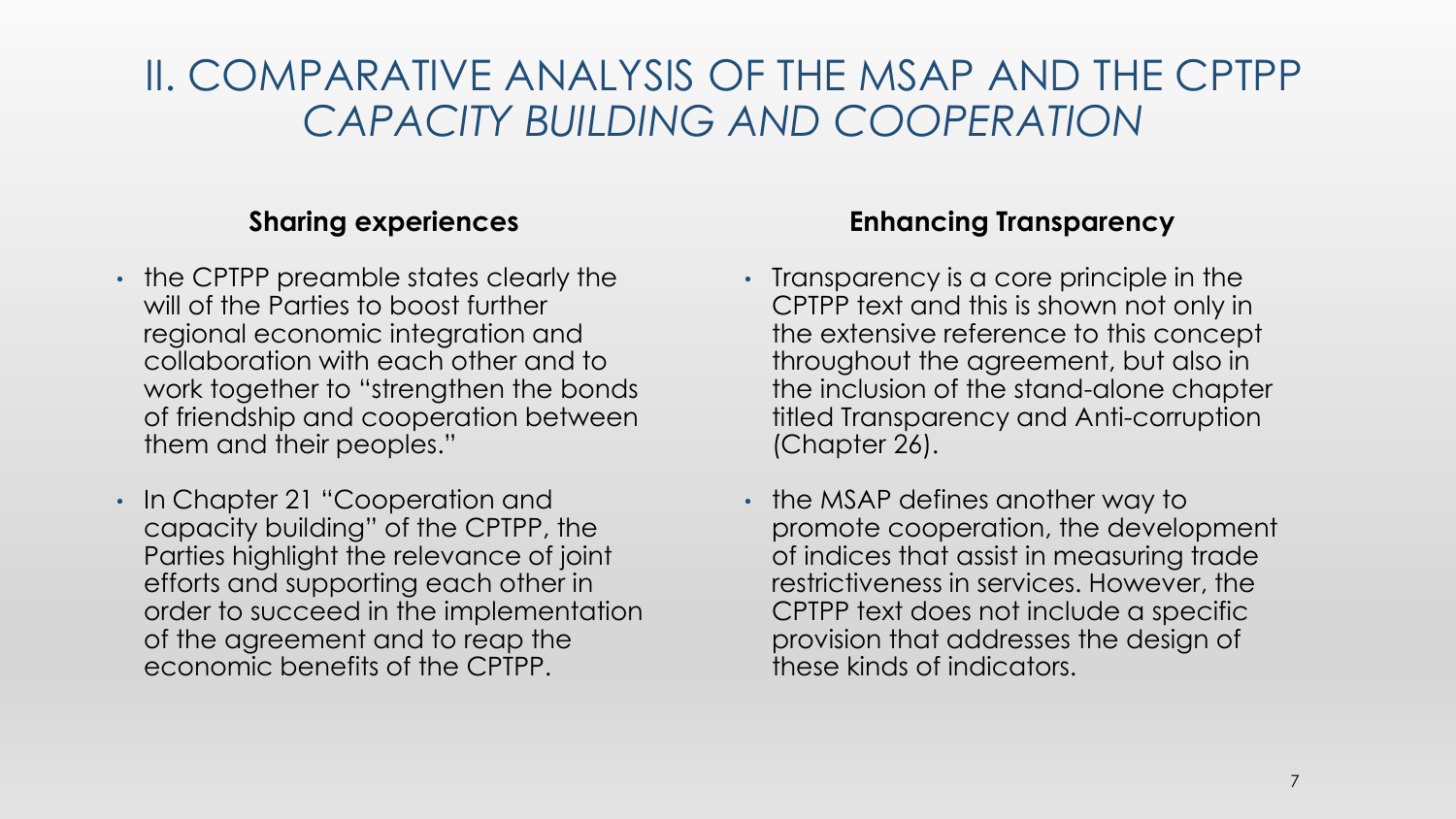## II. COMPARATIVE ANALYSIS OF THE MSAP AND THE CPTPP *CAPACITY BUILDING AND COOPERATION*

#### **Sharing experiences**

- the CPTPP preamble states clearly the will of the Parties to boost further regional economic integration and collaboration with each other and to work together to "strengthen the bonds of friendship and cooperation between them and their peoples."
- In Chapter 21 "Cooperation and capacity building" of the CPTPP, the Parties highlight the relevance of joint efforts and supporting each other in order to succeed in the implementation of the agreement and to reap the economic benefits of the CPTPP.

#### **Enhancing Transparency**

- Transparency is a core principle in the CPTPP text and this is shown not only in the extensive reference to this concept throughout the agreement, but also in the inclusion of the stand-alone chapter titled Transparency and Anti-corruption (Chapter 26).
- the MSAP defines another way to promote cooperation, the development of indices that assist in measuring trade restrictiveness in services. However, the CPTPP text does not include a specific provision that addresses the design of these kinds of indicators.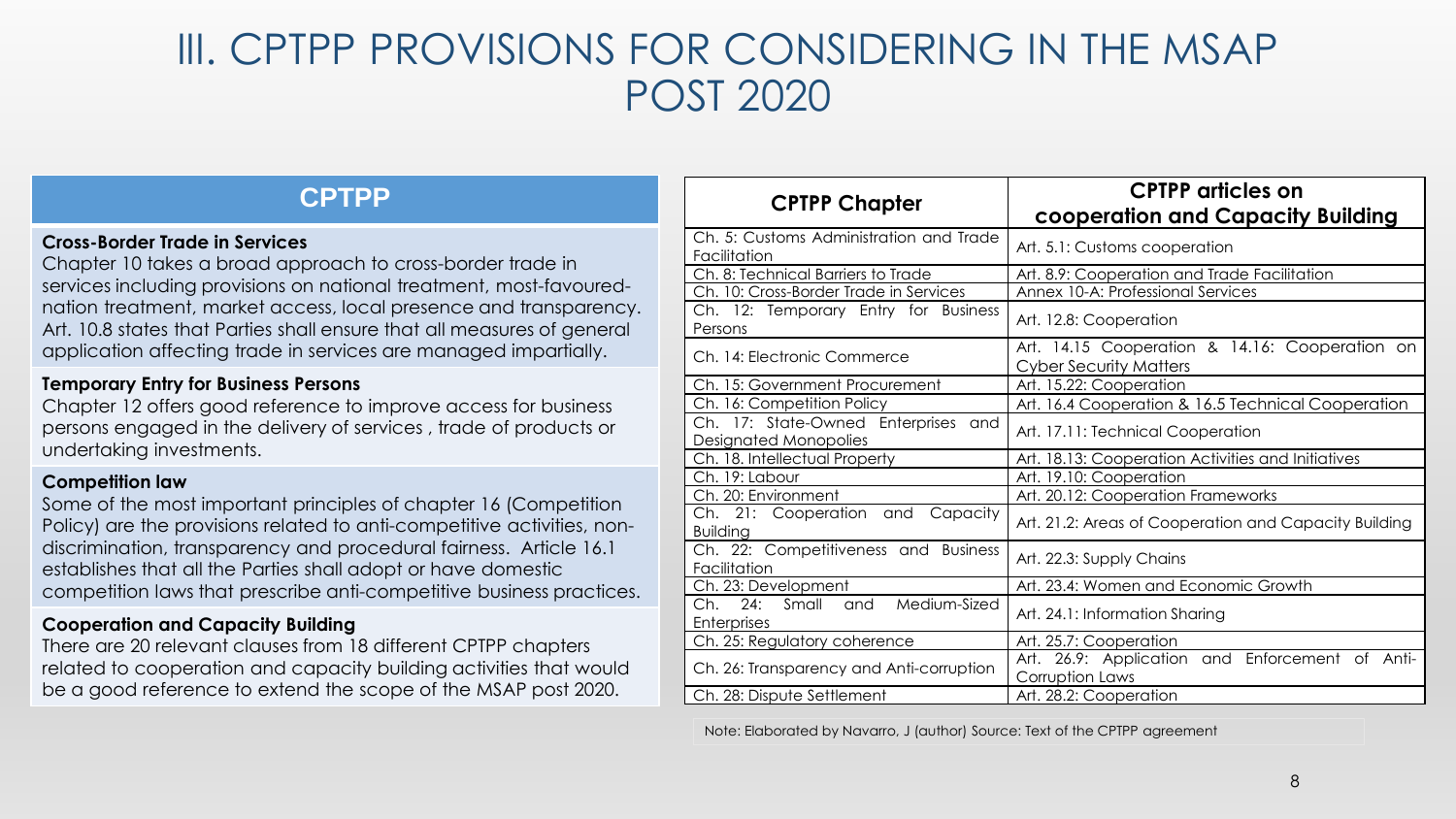## III. CPTPP PROVISIONS FOR CONSIDERING IN THE MSAP POST 2020

#### **CPTPP**

#### **Cross-Border Trade in Services**

Chapter 10 takes a broad approach to cross-border trade in services including provisions on national treatment, most-favourednation treatment, market access, local presence and transparency. Art. 10.8 states that Parties shall ensure that all measures of general application affecting trade in services are managed impartially.

#### **Temporary Entry for Business Persons**

Chapter 12 offers good reference to improve access for business persons engaged in the delivery of services , trade of products or undertaking investments.

#### **Competition law**

Some of the most important principles of chapter 16 (Competition Policy) are the provisions related to anti-competitive activities, nondiscrimination, transparency and procedural fairness. Article 16.1 establishes that all the Parties shall adopt or have domestic competition laws that prescribe anti-competitive business practices.

#### **Cooperation and Capacity Building**

There are 20 relevant clauses from 18 different CPTPP chapters related to cooperation and capacity building activities that would be a good reference to extend the scope of the MSAP post 2020.

| <b>CPTPP Chapter</b>                                                      | <b>CPTPP</b> articles on<br>cooperation and Capacity Building                   |
|---------------------------------------------------------------------------|---------------------------------------------------------------------------------|
| Ch. 5: Customs Administration and Trade<br>Facilitation                   | Art. 5.1: Customs cooperation                                                   |
| Ch. 8: Technical Barriers to Trade                                        | Art. 8.9: Cooperation and Trade Facilitation                                    |
| Ch. 10: Cross-Border Trade in Services                                    | Annex 10-A: Professional Services                                               |
| Ch. 12: Temporary Entry for Business<br>Persons                           | Art. 12.8: Cooperation                                                          |
| Ch. 14: Electronic Commerce                                               | Art. 14.15 Cooperation & 14.16: Cooperation on<br><b>Cyber Security Matters</b> |
| Ch. 15: Government Procurement                                            | Art. 15.22: Cooperation                                                         |
| Ch. 16: Competition Policy                                                | Art. 16.4 Cooperation & 16.5 Technical Cooperation                              |
| Enterprises<br>Ch. 17: State-Owned<br>and<br><b>Designated Monopolies</b> | Art. 17.11: Technical Cooperation                                               |
| Ch. 18. Intellectual Property                                             | Art. 18.13: Cooperation Activities and Initiatives                              |
| Ch. 19: Labour                                                            | Art. 19.10: Cooperation                                                         |
| Ch. 20: Environment                                                       | Art. 20.12: Cooperation Frameworks                                              |
| Ch. 21: Cooperation and<br>Capacity<br><b>Building</b>                    | Art. 21.2: Areas of Cooperation and Capacity Building                           |
| Ch. 22: Competitiveness and Business<br>Facilitation                      | Art. 22.3: Supply Chains                                                        |
| Ch. 23: Development                                                       | Art. 23.4: Women and Economic Growth                                            |
| Medium-Sized<br>Ch.<br>24:<br>Small<br>and<br>Enterprises                 | Art. 24.1: Information Sharing                                                  |
| Ch. 25: Regulatory coherence                                              | Art. 25.7: Cooperation                                                          |
| Ch. 26: Transparency and Anti-corruption                                  | Art. 26.9: Application and Enforcement<br>Anti-<br>of<br>Corruption Laws        |
| Ch. 28: Dispute Settlement                                                | Art. 28.2: Cooperation                                                          |

Note: Elaborated by Navarro, J (author) Source: Text of the CPTPP agreement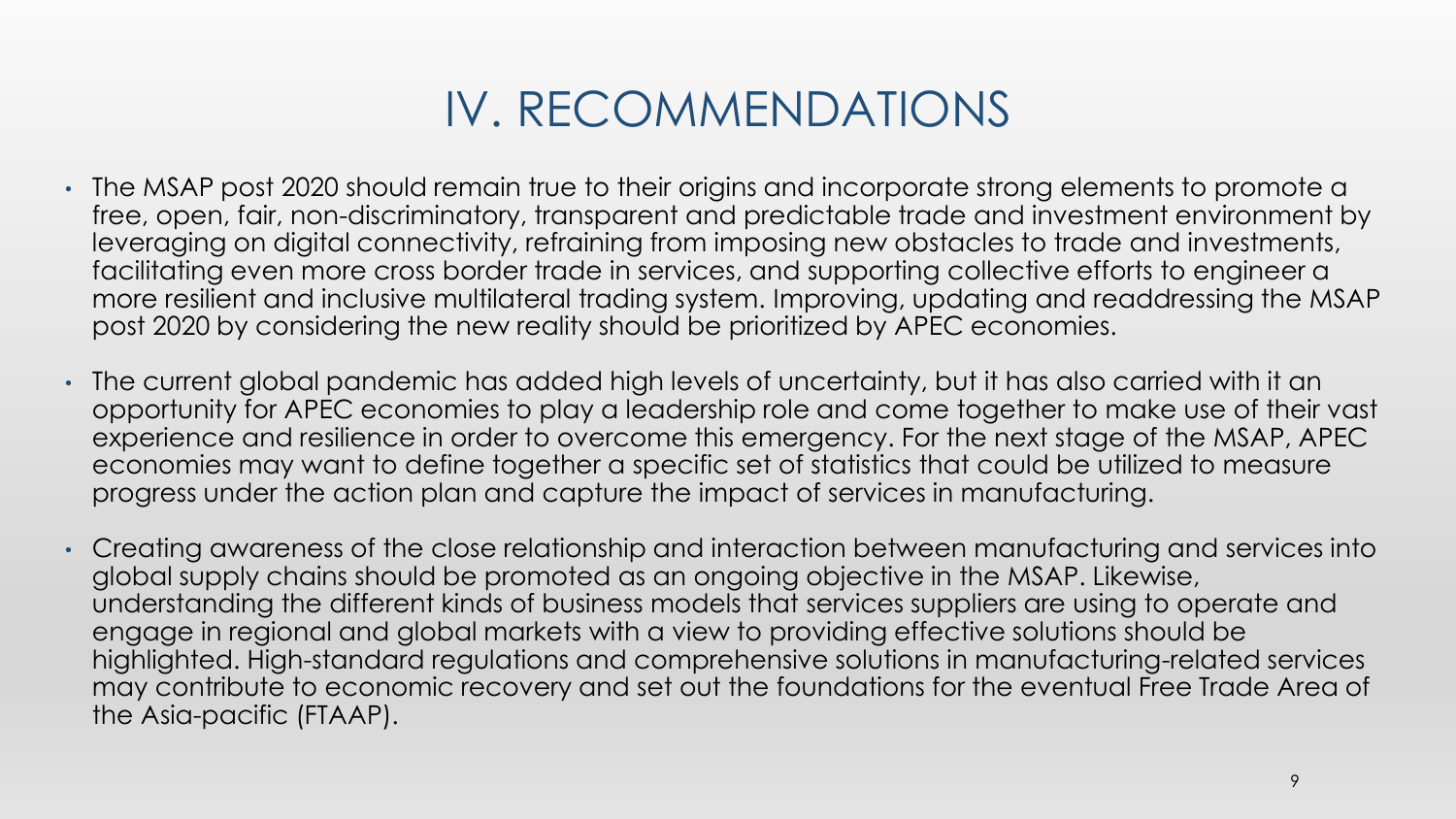## IV. RECOMMENDATIONS

- The MSAP post 2020 should remain true to their origins and incorporate strong elements to promote a free, open, fair, non-discriminatory, transparent and predictable trade and investment environment by leveraging on digital connectivity, refraining from imposing new obstacles to trade and investments, facilitating even more cross border trade in services, and supporting collective efforts to engineer a more resilient and inclusive multilateral trading system. Improving, updating and readdressing the MSAP post 2020 by considering the new reality should be prioritized by APEC economies.
- The current global pandemic has added high levels of uncertainty, but it has also carried with it an opportunity for APEC economies to play a leadership role and come together to make use of their vast experience and resilience in order to overcome this emergency. For the next stage of the MSAP, APEC economies may want to define together a specific set of statistics that could be utilized to measure progress under the action plan and capture the impact of services in manufacturing.
- Creating awareness of the close relationship and interaction between manufacturing and services into global supply chains should be promoted as an ongoing objective in the MSAP. Likewise, understanding the different kinds of business models that services suppliers are using to operate and engage in regional and global markets with a view to providing effective solutions should be highlighted. High-standard regulations and comprehensive solutions in manufacturing-related services may contribute to economic recovery and set out the foundations for the eventual Free Trade Area of the Asia-pacific (FTAAP).